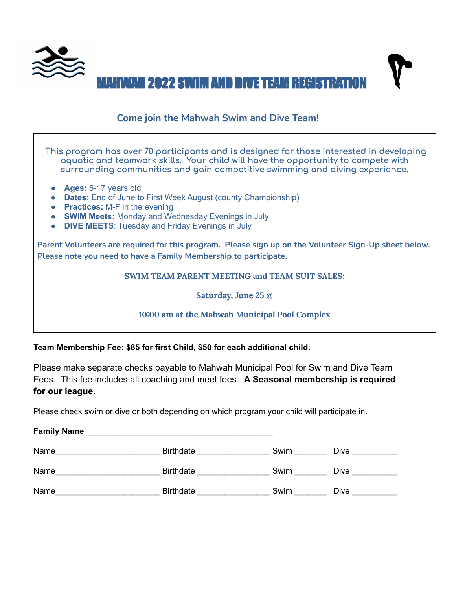

## **Come join the Mahwah Swim and Dive Team!**

**This program has over 70 participants and is designed for those interested in developing aquatic and teamwork skills. Your child will have the opportunity to compete with surrounding communities and gain competitive swimming and diving experience.**

- **● Ages:** 5-17 years old
- **● Dates:** End of June to First Week August (county Championship)
- **● Practices:** M-F in the evening
- **● SWIM Meets:** Monday and Wednesday Evenings in July
- **DIVE MEETS**: Tuesday and Friday Evenings in July

**Parent Volunteers are required for this program. Please sign up on the Volunteer Sign-Up sheet below. Please note you need to have a Family Membership to participate.**

### **SWIM TEAM PARENT MEETING and TEAM SUIT SALES:**

**Saturday, June 25 @**

### **10:00 am at the Mahwah Municipal Pool Complex**

**Team Membership Fee: \$85 for first Child, \$50 for each additional child.**

Please make separate checks payable to Mahwah Municipal Pool for Swim and Dive Team Fees. This fee includes all coaching and meet fees. **A Seasonal membership is required for our league.**

Please check swim or dive or both depending on which program your child will participate in.

| <b>Family Name</b> |                  |      |             |
|--------------------|------------------|------|-------------|
| Name               | <b>Birthdate</b> | Swim | Dive        |
| Name               | <b>Birthdate</b> | Swim | <b>Dive</b> |
| Name               | <b>Birthdate</b> | Swim | <b>Dive</b> |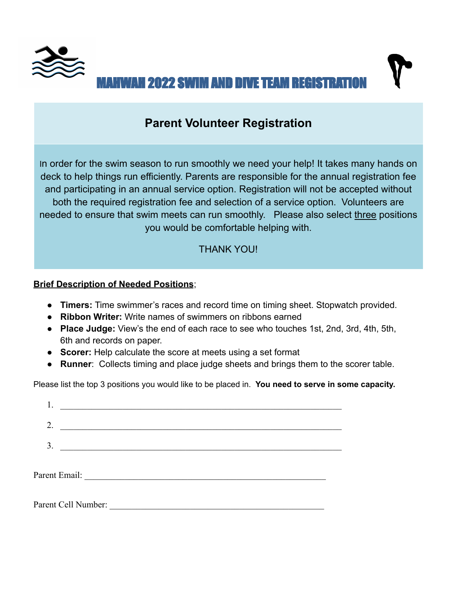

# **Parent Volunteer Registration**

In order for the swim season to run smoothly we need your help! It takes many hands on deck to help things run efficiently. Parents are responsible for the annual registration fee and participating in an annual service option. Registration will not be accepted without both the required registration fee and selection of a service option. Volunteers are needed to ensure that swim meets can run smoothly. Please also select three positions you would be comfortable helping with.

## THANK YOU!

### **Brief Description of Needed Positions**;

- **Timers:** Time swimmer's races and record time on timing sheet. Stopwatch provided.
- **Ribbon Writer:** Write names of swimmers on ribbons earned
- **Place Judge:** View's the end of each race to see who touches 1st, 2nd, 3rd, 4th, 5th, 6th and records on paper.
- **Scorer:** Help calculate the score at meets using a set format
- **Runner**: Collects timing and place judge sheets and brings them to the scorer table.

Please list the top 3 positions you would like to be placed in. **You need to serve in some capacity.**

| 2.             | <u> Alexandria de la contexta de la contexta de la contexta de la contexta de la contexta de la contexta de la c</u> |  |  |  |
|----------------|----------------------------------------------------------------------------------------------------------------------|--|--|--|
| 3 <sub>1</sub> |                                                                                                                      |  |  |  |
|                |                                                                                                                      |  |  |  |
|                |                                                                                                                      |  |  |  |